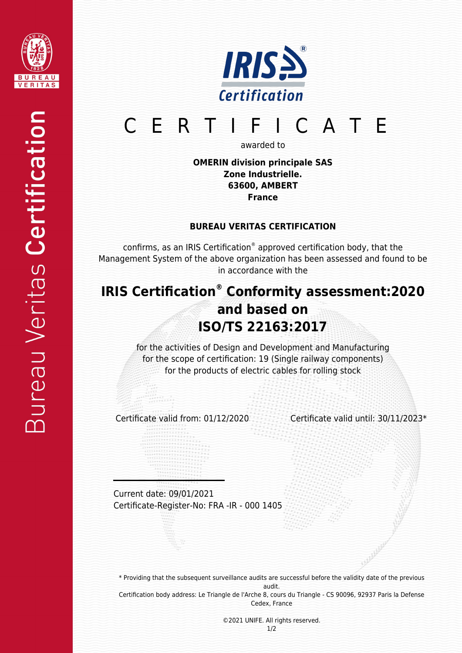



# CERTIFICATE

awarded to

**OMERIN division principale SAS Zone Industrielle. 63600, AMBERT France**

### **BUREAU VERITAS CERTIFICATION**

confirms, as an IRIS Certification® approved certification body, that the Management System of the above organization has been assessed and found to be in accordance with the

## **IRIS Certification® Conformity assessment:2020 and based on ISO/TS 22163:2017**

for the activities of Design and Development and Manufacturing for the scope of certification: 19 (Single railway components) for the products of electric cables for rolling stock

Certificate valid from: 01/12/2020 Certificate valid until: 30/11/2023\*

Current date: 09/01/2021 Certificate-Register-No: FRA -IR - 000 1405

\* Providing that the subsequent surveillance audits are successful before the validity date of the previous audit. Certification body address: Le Triangle de l'Arche 8, cours du Triangle - CS 90096, 92937 Paris la Defense Cedex, France

> ©2021 UNIFE. All rights reserved. 1/2